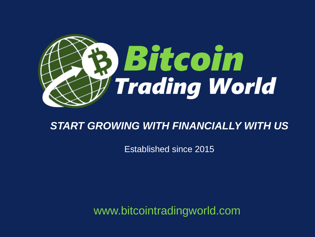

#### *START GROWING WITH FINANCIALLY WITH US*

Established since 2015

www.bitcointradingworld.com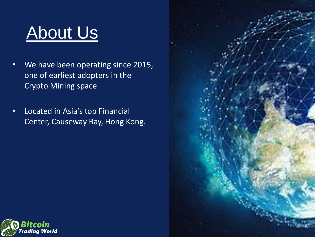### About Us

- We have been operating since 2015, one of earliest adopters in the Crypto Mining space
- Located in Asia's top Financial Center, Causeway Bay, Hong Kong.



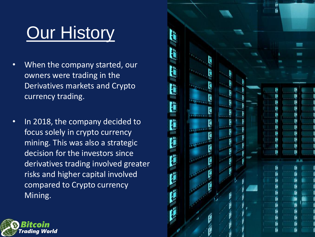# **Our History**

- When the company started, our owners were trading in the Derivatives markets and Crypto currency trading.
- In 2018, the company decided to focus solely in crypto currency mining. This was also a strategic decision for the investors since derivatives trading involved greater risks and higher capital involved compared to Crypto currency Mining.



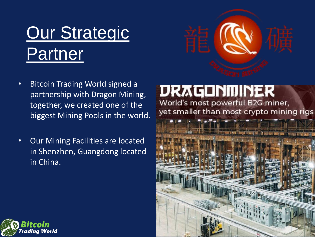# **Our Strategic Partner**



- Bitcoin Trading World signed a partnership with Dragon Mining, together, we created one of the biggest Mining Pools in the world.
- Our Mining Facilities are located in Shenzhen, Guangdong located in China.

#### **DRAGONMINER**

World's most powerful B2G miner, yet smaller than most crypto mining rigs



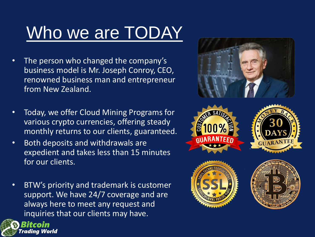# Who we are TODAY

- The person who changed the company's business model is Mr. Joseph Conroy, CEO, renowned business man and entrepreneur from New Zealand.
- Today, we offer Cloud Mining Programs for various crypto currencies, offering steady monthly returns to our clients, guaranteed.
- Both deposits and withdrawals are expedient and takes less than 15 minutes for our clients.
- BTW's priority and trademark is customer support. We have 24/7 coverage and are always here to meet any request and inquiries that our clients may have.





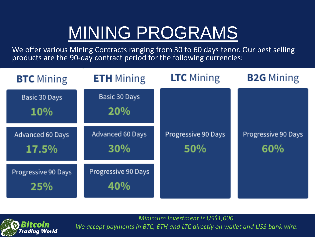## MINING PROGRAMS

We offer various Mining Contracts ranging from 30 to 60 days tenor. Our best selling products are the 90-day contract period for the following currencies:

| <b>BTC</b> Mining           | <b>ETH</b> Mining          | <b>LTC</b> Mining          | <b>B2G</b> Mining          |
|-----------------------------|----------------------------|----------------------------|----------------------------|
| Basic 30 Days<br><b>10%</b> | Basic 30 Days<br>20%       |                            |                            |
| Advanced 60 Days<br>17.5%   | Advanced 60 Days<br>30%    | Progressive 90 Days<br>50% | Progressive 90 Days<br>60% |
| Progressive 90 Days<br>25%  | Progressive 90 Days<br>40% |                            |                            |

itcoin adina World

*Minimum Investment is US\$1,000. We accept payments in BTC, ETH and LTC directly on wallet and US\$ bank wire.*